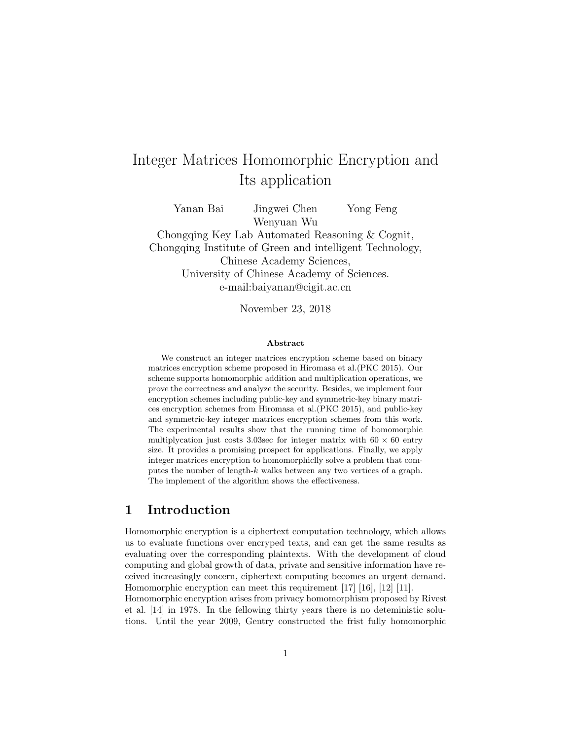# Integer Matrices Homomorphic Encryption and Its application

Yanan Bai Jingwei Chen Yong Feng Wenyuan Wu Chongqing Key Lab Automated Reasoning & Cognit, Chongqing Institute of Green and intelligent Technology, Chinese Academy Sciences, University of Chinese Academy of Sciences. e-mail:baiyanan@cigit.ac.cn

November 23, 2018

#### Abstract

We construct an integer matrices encryption scheme based on binary matrices encryption scheme proposed in Hiromasa et al.(PKC 2015). Our scheme supports homomorphic addition and multiplication operations, we prove the correctness and analyze the security. Besides, we implement four encryption schemes including public-key and symmetric-key binary matrices encryption schemes from Hiromasa et al.(PKC 2015), and public-key and symmetric-key integer matrices encryption schemes from this work. The experimental results show that the running time of homomorphic multiplycation just costs 3.03sec for integer matrix with  $60 \times 60$  entry size. It provides a promising prospect for applications. Finally, we apply integer matrices encryption to homomorphiclly solve a problem that computes the number of length-k walks between any two vertices of a graph. The implement of the algorithm shows the effectiveness.

# 1 Introduction

Homomorphic encryption is a ciphertext computation technology, which allows us to evaluate functions over encryped texts, and can get the same results as evaluating over the corresponding plaintexts. With the development of cloud computing and global growth of data, private and sensitive information have received increasingly concern, ciphertext computing becomes an urgent demand. Homomorphic encryption can meet this requirement [\[17\]](#page-12-0) [\[16\]](#page-11-0), [\[12\]](#page-11-1) [\[11\]](#page-11-2).

Homomorphic encryption arises from privacy homomorphism proposed by Rivest et al. [\[14\]](#page-11-3) in 1978. In the fellowing thirty years there is no deteministic solutions. Until the year 2009, Gentry constructed the frist fully homomorphic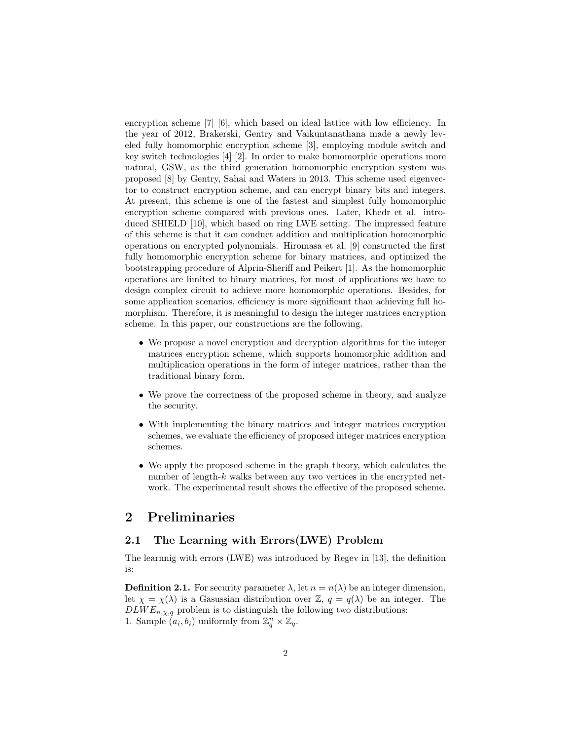encryption scheme [\[7\]](#page-11-4) [\[6\]](#page-11-5), which based on ideal lattice with low efficiency. In the year of 2012, Brakerski, Gentry and Vaikuntanathana made a newly leveled fully homomorphic encryption scheme [\[3\]](#page-10-0), employing module switch and key switch technologies [\[4\]](#page-11-6) [\[2\]](#page-10-1). In order to make homomorphic operations more natural, GSW, as the third generation homomorphic encryption system was proposed [\[8\]](#page-11-7) by Gentry, Sahai and Waters in 2013. This scheme used eigenvector to construct encryption scheme, and can encrypt binary bits and integers. At present, this scheme is one of the fastest and simplest fully homomorphic encryption scheme compared with previous ones. Later, Khedr et al. introduced SHIELD [\[10\]](#page-11-8), which based on ring LWE setting. The impressed feature of this scheme is that it can conduct addition and multiplication homomorphic operations on encrypted polynomials. Hiromasa et al. [\[9\]](#page-11-9) constructed the first fully homomorphic encryption scheme for binary matrices, and optimized the bootstrapping procedure of Alprin-Sheriff and Peikert [\[1\]](#page-10-2). As the homomorphic operations are limited to binary matrices, for most of applications we have to design complex circuit to achieve more homomorphic operations. Besides, for some application scenarios, efficiency is more significant than achieving full homorphism. Therefore, it is meaningful to design the integer matrices encryption scheme. In this paper, our constructions are the following.

- We propose a novel encryption and decryption algorithms for the integer matrices encryption scheme, which supports homomorphic addition and multiplication operations in the form of integer matrices, rather than the traditional binary form.
- We prove the correctness of the proposed scheme in theory, and analyze the security.
- With implementing the binary matrices and integer matrices encryption schemes, we evaluate the efficiency of proposed integer matrices encryption schemes.
- We apply the proposed scheme in the graph theory, which calculates the number of length- $k$  walks between any two vertices in the encrypted network. The experimental result shows the effective of the proposed scheme.

### 2 Preliminaries

#### 2.1 The Learning with Errors(LWE) Problem

The learnnig with errors (LWE) was introduced by Regev in [\[13\]](#page-11-10), the definition is:

**Definition 2.1.** For security parameter  $\lambda$ , let  $n = n(\lambda)$  be an integer dimension, let  $\chi = \chi(\lambda)$  is a Gasussian distribution over  $\mathbb{Z}$ ,  $q = q(\lambda)$  be an integer. The  $DLWE_{n,\chi,q}$  problem is to distinguish the following two distributions: 1. Sample  $(a_i, b_i)$  uniformly from  $\mathbb{Z}_q^n \times \mathbb{Z}_q$ .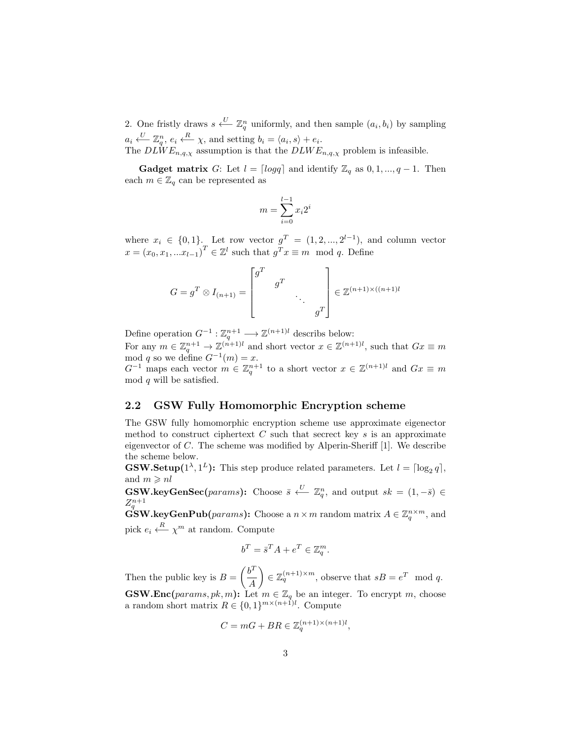2. One fristly draws  $s \stackrel{U}{\longleftarrow} \mathbb{Z}_q^n$  uniformly, and then sample  $(a_i, b_i)$  by sampling  $a_i \stackrel{U}{\longleftarrow} \mathbb{Z}_q^n$ ,  $e_i \stackrel{R}{\longleftarrow} \chi$ , and setting  $b_i = \langle a_i, s \rangle + e_i$ .

The  $DLWE_{n,q,\chi}$  assumption is that the  $DLWE_{n,q,\chi}$  problem is infeasible.

**Gadget matrix** G: Let  $l = \lceil log q \rceil$  and identify  $\mathbb{Z}_q$  as  $0, 1, ..., q - 1$ . Then each  $m \in \mathbb{Z}_q$  can be represented as

$$
m = \sum_{i=0}^{l-1} x_i 2^i
$$

where  $x_i \in \{0,1\}$ . Let row vector  $g^T = (1, 2, ..., 2^{l-1})$ , and column vector  $x = (x_0, x_1, ... x_{l-1})^T \in \mathbb{Z}^l$  such that  $g^T x \equiv m \mod q$ . Define

$$
G = g^T \otimes I_{(n+1)} = \begin{bmatrix} g^T & & & \\ & g^T & & \\ & & \ddots & \\ & & & g^T \end{bmatrix} \in \mathbb{Z}^{(n+1)\times((n+1)l)}
$$

Define operation  $G^{-1}: \mathbb{Z}_q^{n+1} \longrightarrow \mathbb{Z}^{(n+1)l}$  describs below:

For any  $m \in \mathbb{Z}_q^{n+1} \to \mathbb{Z}^{(n+1)l}$  and short vector  $x \in \mathbb{Z}^{(n+1)l}$ , such that  $Gx \equiv m$ mod q so we define  $G^{-1}(m) = x$ .

 $G^{-1}$  maps each vector  $m \in \mathbb{Z}_q^{n+1}$  to a short vector  $x \in \mathbb{Z}^{(n+1)l}$  and  $Gx \equiv m$ mod  $q$  will be satisfied.

#### 2.2 GSW Fully Homomorphic Encryption scheme

The GSW fully homomorphic encryption scheme use approximate eigenector method to construct ciphertext  $C$  such that secrect key  $s$  is an approximate eigenvector of C. The scheme was modified by Alperin-Sheriff [\[1\]](#page-10-2). We describe the scheme below.

**GSW.Setup**( $1^{\lambda}, 1^{L}$ ): This step produce related parameters. Let  $l = \lceil \log_2 q \rceil$ , and  $m \geqslant nl$ 

**GSW.keyGenSec**(params): Choose  $\bar{s} \stackrel{U}{\longleftarrow} \mathbb{Z}_q^n$ , and output  $sk = (1, -\bar{s}) \in$  $Z_q^{n+1}$ 

 $\mathbf{GSW}.\mathbf{keyGenPub}(params):$  Choose a  $n \times m$  random matrix  $A \in \mathbb{Z}_q^{n \times m}$ , and pick  $e_i \xleftarrow{R} \chi^m$  at random. Compute

$$
b^T = \bar{s}^T A + e^T \in \mathbb{Z}_q^m.
$$

Then the public key is  $B = \left(\frac{b^T}{4}\right)^T$ A  $\Big\} \in \mathbb{Z}_q^{(n+1)\times m}$ , observe that  $sB = e^T \mod q$ . **GSW.Enc**(params, pk, m): Let  $m \in \mathbb{Z}_q$  be an integer. To encrypt m, choose

a random short matrix  $R \in \{0,1\}^{m \times (n+1)l}$ . Compute

$$
C = mG + BR \in \mathbb{Z}_q^{(n+1)\times (n+1)l},
$$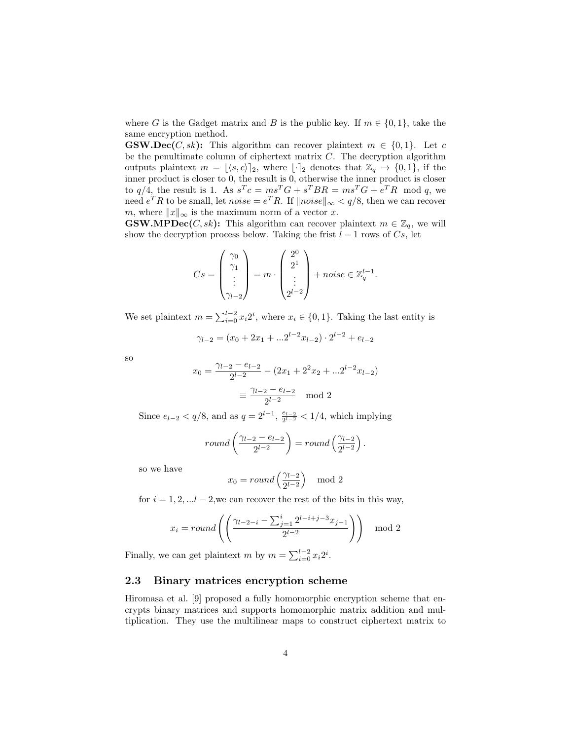where G is the Gadget matrix and B is the public key. If  $m \in \{0, 1\}$ , take the same encryption method.

**GSW.Dec**(*C*, sk): This algorithm can recover plaintext  $m \in \{0, 1\}$ . Let c be the penultimate column of ciphertext matrix  $C$ . The decryption algorithm outputs plaintext  $m = \lfloor \langle s, c \rangle \rfloor_2$ , where  $\lfloor \cdot \rfloor_2$  denotes that  $\mathbb{Z}_q \to \{0, 1\}$ , if the inner product is closer to 0, the result is 0, otherwise the inner product is closer to  $q/4$ , the result is 1. As  $s^T c = ms^T G + s^T B R = ms^T G + e^T R$  mod q, we need  $e^T R$  to be small, let  $noise = e^T R$ . If  $\|noise\|_{\infty} < q/8$ , then we can recover m, where  $||x||_{\infty}$  is the maximum norm of a vector x.

**GSW.MPDec**(*C*, *sk*): This algorithm can recover plaintext  $m \in \mathbb{Z}_q$ , we will show the decryption process below. Taking the frist  $l - 1$  rows of  $Cs$ , let

$$
Cs = \begin{pmatrix} \gamma_0 \\ \gamma_1 \\ \vdots \\ \gamma_{l-2} \end{pmatrix} = m \cdot \begin{pmatrix} 2^0 \\ 2^1 \\ \vdots \\ 2^{l-2} \end{pmatrix} + noise \in \mathbb{Z}_q^{l-1}.
$$

We set plaintext  $m = \sum_{i=0}^{l-2} x_i 2^i$ , where  $x_i \in \{0, 1\}$ . Taking the last entity is

$$
\gamma_{l-2} = (x_0 + 2x_1 + ... 2^{l-2} x_{l-2}) \cdot 2^{l-2} + e_{l-2}
$$

so

$$
x_0 = \frac{\gamma_{l-2} - e_{l-2}}{2^{l-2}} - (2x_1 + 2^2 x_2 + \dots 2^{l-2} x_{l-2})
$$

$$
\equiv \frac{\gamma_{l-2} - e_{l-2}}{2^{l-2}} \mod 2
$$

Since  $e_{l-2} < q/8$ , and as  $q = 2^{l-1}$ ,  $\frac{e_{l-2}}{2^{l-2}} < 1/4$ , which implying

$$
round\left(\frac{\gamma_{l-2} - e_{l-2}}{2^{l-2}}\right) = round\left(\frac{\gamma_{l-2}}{2^{l-2}}\right).
$$

so we have

$$
x_0 = round\left(\frac{\gamma_{l-2}}{2^{l-2}}\right) \mod 2
$$

for  $i = 1, 2, \ldots l - 2$ , we can recover the rest of the bits in this way,

$$
x_i = round\left( \left( \frac{\gamma_{l-2-i} - \sum_{j=1}^{i} 2^{l-i+j-3} x_{j-1}}{2^{l-2}} \right) \right) \mod 2
$$

Finally, we can get plaintext m by  $m = \sum_{i=0}^{l-2} x_i 2^i$ .

#### 2.3 Binary matrices encryption scheme

Hiromasa et al. [\[9\]](#page-11-9) proposed a fully homomorphic encryption scheme that encrypts binary matrices and supports homomorphic matrix addition and multiplication. They use the multilinear maps to construct ciphertext matrix to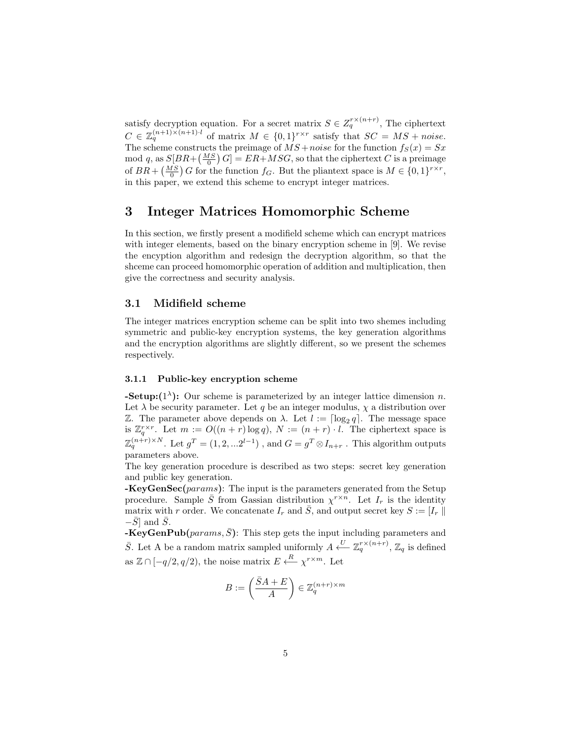satisfy decryption equation. For a secret matrix  $S \in Z_q^{r \times (n+r)}$ , The ciphertext  $C \in \mathbb{Z}_q^{(n+1)\times (n+1)\cdot l}$  of matrix  $M \in \{0,1\}^{r\times r}$  satisfy that  $SC = MS + noise$ . The scheme constructs the preimage of  $\overline{MS}$  + noise for the function  $f_S(x) = Sx$ mod q, as  $S[BR + \left(\frac{MS}{0}\right)G] = ER + MSG$ , so that the ciphertext C is a preimage of  $BR + \left(\frac{MS}{0}\right)G$  for the function  $f_G$ . But the pliantext space is  $M \in \{0,1\}^{r \times r}$ , in this paper, we extend this scheme to encrypt integer matrices.

### 3 Integer Matrices Homomorphic Scheme

In this section, we firstly present a modifield scheme which can encrypt matrices with integer elements, based on the binary encryption scheme in [\[9\]](#page-11-9). We revise the encyption algorithm and redesign the decryption algorithm, so that the shceme can proceed homomorphic operation of addition and multiplication, then give the correctness and security analysis.

#### 3.1 Midifield scheme

The integer matrices encryption scheme can be split into two shemes including symmetric and public-key encryption systems, the key generation algorithms and the encryption algorithms are slightly different, so we present the schemes respectively.

#### 3.1.1 Public-key encryption scheme

**-Setup:**( $1^{\lambda}$ ): Our scheme is parameterized by an integer lattice dimension n. Let  $\lambda$  be security parameter. Let q be an integer modulus,  $\chi$  a distribution over Z. The parameter above depends on  $\lambda$ . Let  $\ell := \lceil \log_2 q \rceil$ . The message space is  $\mathbb{Z}_q^{r\times r}$ . Let  $m := O((n+r)\log q)$ ,  $N := (n+r) \cdot l$ . The ciphertext space is  $\mathbb{Z}_q^{(n+r)\times N}$ . Let  $g^T=(1,2,...2^{l-1})$  , and  $G=g^T\otimes I_{n+r}$  . This algorithm outputs parameters above.

The key generation procedure is described as two steps: secret key generation and public key generation.

 $-KeyGenSec(params)$ : The input is the parameters generated from the Setup procedure. Sample  $\bar{S}$  from Gassian distribution  $\chi^{r \times n}$ . Let  $I_r$  is the identity matrix with r order. We concatenate  $I_r$  and  $\overline{S}$ , and output secret key  $S := [I_r |$  $-\bar{S}$  and  $\bar{S}$ .

 $-KeyGenPub(*params*, \bar{S})$ : This step gets the input including parameters and  $\bar{S}$ . Let A be a random matrix sampled uniformly  $A \xleftarrow{U} \mathbb{Z}_q^{r \times (n+r)}$ ,  $\mathbb{Z}_q$  is defined as  $\mathbb{Z} \cap [-q/2, q/2)$ , the noise matrix  $E \xleftarrow{R} \chi^{r \times m}$ . Let

$$
B:=\left(\frac{\bar{S}A+E}{A}\right)\in\mathbb{Z}_q^{(n+r)\times m}
$$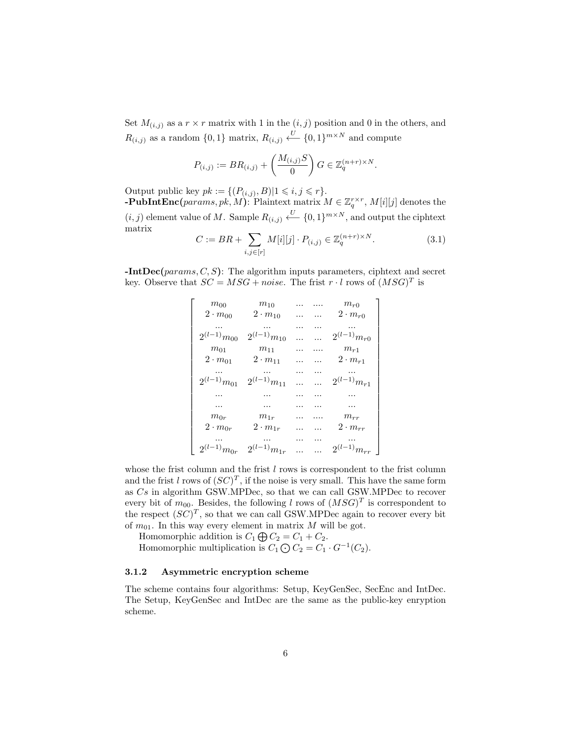Set  $M_{(i,j)}$  as a  $r \times r$  matrix with 1 in the  $(i, j)$  position and 0 in the others, and  $R_{(i,j)}$  as a random  $\{0,1\}$  matrix,  $R_{(i,j)} \stackrel{U}{\longleftarrow} \{0,1\}^{m \times N}$  and compute

$$
P_{(i,j)} := BR_{(i,j)} + \left(\frac{M_{(i,j)}S}{0}\right)G \in \mathbb{Z}_q^{(n+r)\times N}.
$$

Output public key  $pk := \{(P_{(i,j)}, B) | 1 \leq i, j \leq r\}.$ **-PubIntEnc**(params, pk, M): Plaintext matrix  $M \in \mathbb{Z}_q^{r \times r}$ ,  $M[i][j]$  denotes the  $(i, j)$  element value of M. Sample  $R_{(i,j)} \stackrel{U}{\longleftarrow} \{0,1\}^{m \times N}$ , and output the ciphtext matrix

$$
C := BR + \sum_{i,j \in [r]} M[i][j] \cdot P_{(i,j)} \in \mathbb{Z}_q^{(n+r) \times N}.
$$
 (3.1)

 $\text{-IntDec}(params, C, S)$ : The algorithm inputs parameters, ciphtext and secret key. Observe that  $SC = MSC + noise$ . The frist  $r \cdot l$  rows of  $(MSG)^T$  is

| $\,m_{00}$            | $m_{10}$            | . | . | $m_{r0}\,$        |
|-----------------------|---------------------|---|---|-------------------|
| $2 \cdot m_{00}$      | $2 \cdot m_{10}$    | . | . | $2\cdot m_{r0}$   |
|                       |                     |   |   |                   |
| $2^{(l-1)}m_{00}$     | $2^{(l-1)}m_{10}$   |   | . | $2^{(l-1)}m_{r0}$ |
| $m_{\rm 01}$          | $\,m_{11}$          |   |   | $m_{r1}$          |
| $2 \cdot m_{01}$      | $2 \cdot m_{11}$    |   | . | $2 \cdot m_{r1}$  |
|                       |                     |   | . |                   |
| $2^{(l-1)}m_{01}$     | $2^{(l-1)}m_{11}$   |   | . | $2^{(l-1)}m_{r1}$ |
| .                     | .                   | . | . | .                 |
| .                     |                     |   | . | .                 |
| $\ensuremath{m_{0r}}$ | $\mathfrak{m}_{1r}$ |   |   | $m_{rr}$          |
| $2 \cdot m_{0r}$      | $2 \cdot m_{1r}$    |   |   | $2 \cdot m_{rr}$  |
|                       |                     |   | . |                   |
| $2^{(l-1)}m_{0r}$     | $2^{(l-1)}m_{1r}$   |   |   | $2^{(l-1)}m_{rr}$ |

whose the frist column and the frist  $l$  rows is correspondent to the frist column and the frist l rows of  $(SC)^T$ , if the noise is very small. This have the same form as Cs in algorithm GSW.MPDec, so that we can call GSW.MPDec to recover every bit of  $m_{00}$ . Besides, the following l rows of  $(MSG)^T$  is correspondent to the respect  $(SC)^T$ , so that we can call GSW.MPDec again to recover every bit of  $m_{01}$ . In this way every element in matrix M will be got.

Homomorphic addition is  $C_1 \bigoplus C_2 = C_1 + C_2$ .

Homomorphic multiplication is  $C_1 \bigodot C_2 = C_1 \cdot G^{-1}(C_2)$ .

#### 3.1.2 Asymmetric encryption scheme

The scheme contains four algorithms: Setup, KeyGenSec, SecEnc and IntDec. The Setup, KeyGenSec and IntDec are the same as the public-key enryption scheme.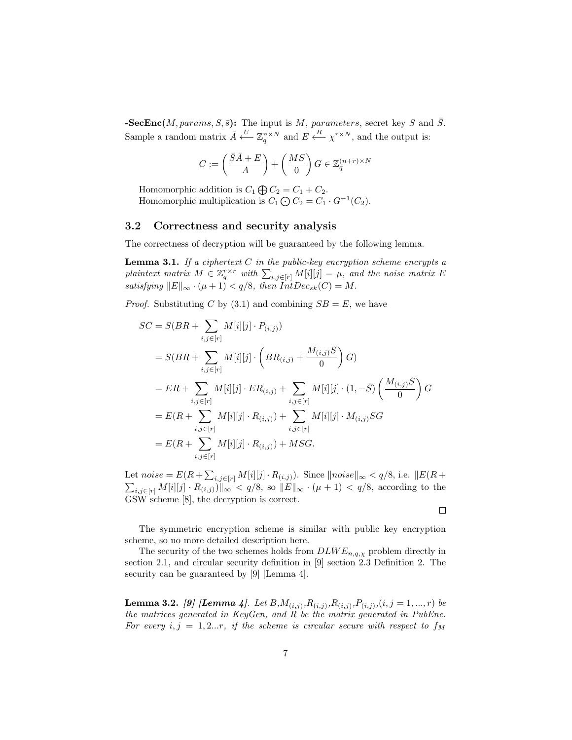$-{\bf SecEnc}(M,params, S, \bar{s})$ : The input is M, parameters, secret key S and  $\bar{S}$ . Sample a random matrix  $\bar{A} \stackrel{U}{\longleftarrow} \mathbb{Z}_q^{n \times N}$  and  $E \stackrel{R}{\longleftarrow} \chi^{r \times N}$ , and the output is:

$$
C := \left(\frac{\bar{S}\bar{A} + E}{A}\right) + \left(\frac{MS}{0}\right)G \in \mathbb{Z}_q^{(n+r)\times N}
$$

Homomorphic addition is  $C_1 \bigoplus C_2 = C_1 + C_2$ . Homomorphic multiplication is  $C_1 \bigodot C_2 = C_1 \cdot G^{-1}(C_2)$ .

#### 3.2 Correctness and security analysis

The correctness of decryption will be guaranteed by the following lemma.

**Lemma 3.1.** If a ciphertext  $C$  in the public-key encryption scheme encrypts a plaintext matrix  $M \in \mathbb{Z}_q^{r \times r}$  with  $\sum_{i,j \in [r]} M[i][j] = \mu$ , and the noise matrix E satisfying  $||E||_{\infty} \cdot (\mu + 1) < q/8$ , then  $IntDec_{sk}(C) = M$ .

*Proof.* Substituting C by (3.1) and combining  $SB = E$ , we have

$$
SC = S(BR + \sum_{i,j \in [r]} M[i][j] \cdot P_{(i,j)})
$$
  
=  $S(BR + \sum_{i,j \in [r]} M[i][j] \cdot \left(BR_{(i,j)} + \frac{M_{(i,j)}S}{0}\right)G$ )  
=  $ER + \sum_{i,j \in [r]} M[i][j] \cdot ER_{(i,j)} + \sum_{i,j \in [r]} M[i][j] \cdot (1, -\bar{S}) \left(\frac{M_{(i,j)}S}{0}\right)G$   
=  $E(R + \sum_{i,j \in [r]} M[i][j] \cdot R_{(i,j)}) + \sum_{i,j \in [r]} M[i][j] \cdot M_{(i,j)}SG$   
=  $E(R + \sum_{i,j \in [r]} M[i][j] \cdot R_{(i,j)}) + MSG.$ 

Let  $noise = E(R + \sum_{i,j \in [r]} M[i][j] \cdot R_{(i,j)})$ . Since  $\|noise\|_{\infty} < q/8$ , i.e.  $\|E(R + \sum_{i,j \in [r]} M[i][j] \cdot R_{(i,j)})$ .  $\sum_{i,j\in[r]} M[i][j] \cdot R_{(i,j)})\|_{\infty} < q/8$ , so  $||E||_{\infty} \cdot (\mu+1) < q/8$ , according to the GSW scheme [\[8\]](#page-11-7), the decryption is correct.

 $\Box$ 

The symmetric encryption scheme is similar with public key encryption scheme, so no more detailed description here.

The security of the two schemes holds from  $DLWE_{n,q,\chi}$  problem directly in section 2.1, and circular security definition in [\[9\]](#page-11-9) section 2.3 Definition 2. The security can be guaranteed by [\[9\]](#page-11-9) [Lemma 4].

**Lemma 3.2.** [\[9\]](#page-11-9) [Lemma 4]. Let  $B M_{(i,j)}, R_{(i,j)}, R_{(i,j)}, P_{(i,j)}, (i,j=1,...,r)$  be the matrices generated in KeyGen, and R be the matrix generated in PubEnc. For every  $i, j = 1, 2...r$ , if the scheme is circular secure with respect to  $f_M$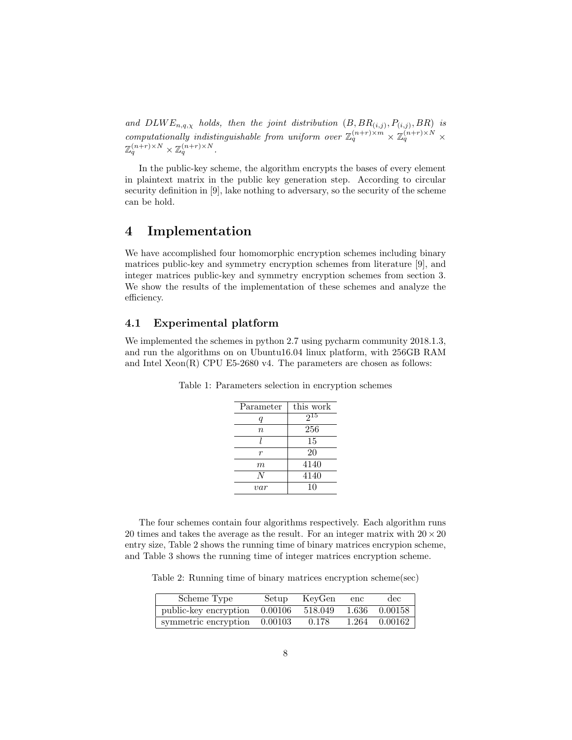and  $DLWE_{n,q,\chi}$  holds, then the joint distribution  $(B, BR_{(i,j)}, P_{(i,j)}, BR)$  is computationally indistinguishable from uniform over  $\mathbb{Z}_q^{(n+r)\times m} \times \mathbb{Z}_q^{(n+r)\times N}$  $\mathbb{Z}_q^{(n+r)\times N}\times \mathbb{Z}_q^{(n+r)\times N}.$ 

In the public-key scheme, the algorithm encrypts the bases of every element in plaintext matrix in the public key generation step. According to circular security definition in [\[9\]](#page-11-9), lake nothing to adversary, so the security of the scheme can be hold.

# 4 Implementation

We have accomplished four homomorphic encryption schemes including binary matrices public-key and symmetry encryption schemes from literature [\[9\]](#page-11-9), and integer matrices public-key and symmetry encryption schemes from section 3. We show the results of the implementation of these schemes and analyze the efficiency.

#### 4.1 Experimental platform

We implemented the schemes in python 2.7 using pycharm community 2018.1.3, and run the algorithms on on Ubuntu16.04 linux platform, with 256GB RAM and Intel Xeon(R) CPU E5-2680 v4. The parameters are chosen as follows:

| Parameter | this work |
|-----------|-----------|
| q         | $2^{15}$  |
| $\it{n}$  | 256       |
|           | 15        |
| r         | 20        |
| m         | 4140      |
| N         | 4140      |
| var       | 10        |

Table 1: Parameters selection in encryption schemes

The four schemes contain four algorithms respectively. Each algorithm runs 20 times and takes the average as the result. For an integer matrix with  $20 \times 20$ entry size, Table 2 shows the running time of binary matrices encrypion scheme, and Table 3 shows the running time of integer matrices encryption scheme.

Table 2: Running time of binary matrices encryption scheme(sec)

| Scheme Type                    | Setup   | KevGen  | enc | $\rm{dec}$    |
|--------------------------------|---------|---------|-----|---------------|
| public-key encryption          | 0.00106 | 518.049 |     | 1.636 0.00158 |
| symmetric encryption $0.00103$ |         | 0.178   |     | 1.264 0.00162 |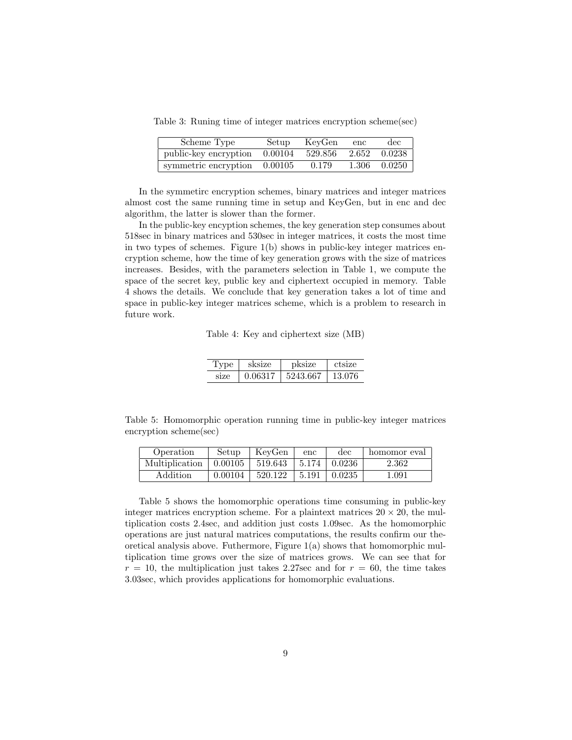Table 3: Runing time of integer matrices encryption scheme(sec)

| Scheme Type                  | Setup   | KeyGen  | enc   | dec          |
|------------------------------|---------|---------|-------|--------------|
| public-key encryption        | 0.00104 | 529.856 | 2.652 | 0.0238       |
| symmetric encryption 0.00105 |         | 0.179   |       | 1.306 0.0250 |

In the symmetirc encryption schemes, binary matrices and integer matrices almost cost the same running time in setup and KeyGen, but in enc and dec algorithm, the latter is slower than the former.

In the public-key encyption schemes, the key generation step consumes about 518sec in binary matrices and 530sec in integer matrices, it costs the most time in two types of schemes. Figure 1(b) shows in public-key integer matrices encryption scheme, how the time of key generation grows with the size of matrices increases. Besides, with the parameters selection in Table 1, we compute the space of the secret key, public key and ciphertext occupied in memory. Table 4 shows the details. We conclude that key generation takes a lot of time and space in public-key integer matrices scheme, which is a problem to research in future work.

Table 4: Key and ciphertext size (MB)

| <b>Type</b> | sksize  | pksize   | ctsize |
|-------------|---------|----------|--------|
| S17e        | 0.06317 | 5243.667 | 13.076 |

Table 5: Homomorphic operation running time in public-key integer matrices encryption scheme(sec)

| Operation      | Setup   | KeyGen  | enc   | $\rm{dec}$             | homomor eval |
|----------------|---------|---------|-------|------------------------|--------------|
| Multiplication | 0.00105 | 519.643 |       | $\pm 5.174 \pm 0.0236$ | 2.362        |
| Addition       | 0.00104 | 520.122 | 5.191 | 0.0235                 | 1.091        |

Table 5 shows the homomorphic operations time consuming in public-key integer matrices encryption scheme. For a plaintext matrices  $20 \times 20$ , the multiplication costs 2.4sec, and addition just costs 1.09sec. As the homomorphic operations are just natural matrices computations, the results confirm our theoretical analysis above. Futhermore, Figure 1(a) shows that homomorphic multiplication time grows over the size of matrices grows. We can see that for  $r = 10$ , the multiplication just takes 2.27sec and for  $r = 60$ , the time takes 3.03sec, which provides applications for homomorphic evaluations.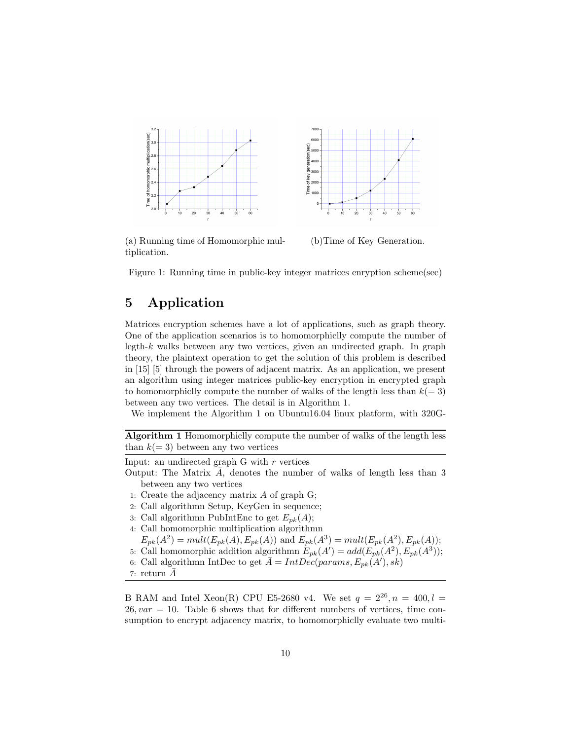

(a) Running time of Homomorphic multiplication. (b)Time of Key Generation.

Figure 1: Running time in public-key integer matrices enryption scheme(sec)

# 5 Application

Matrices encryption schemes have a lot of applications, such as graph theory. One of the application scenarios is to homomorphiclly compute the number of legth- $k$  walks between any two vertices, given an undirected graph. In graph theory, the plaintext operation to get the solution of this problem is described in [\[15\]](#page-11-11) [\[5\]](#page-11-12) through the powers of adjacent matrix. As an application, we present an algorithm using integer matrices public-key encryption in encrypted graph to homomorphiclly compute the number of walks of the length less than  $k(= 3)$ between any two vertices. The detail is in Algorithm 1.

We implement the Algorithm 1 on Ubuntu16.04 linux platform, with 320G-

Algorithm 1 Homomorphiclly compute the number of walks of the length less than  $k(= 3)$  between any two vertices

Input: an undirected graph G with  $r$  vertices

- Output: The Matrix  $\bar{A}$ , denotes the number of walks of length less than 3 between any two vertices
- 1: Create the adjacency matrix A of graph G;
- 2: Call algorithmn Setup, KeyGen in sequence;
- 3: Call algorithmn PubIntEnc to get  $E_{pk}(A)$ ;
- 4: Call homomorphic multiplication algorithmn

 $E_{pk}(A^2) = mult(E_{pk}(A), E_{pk}(A))$  and  $E_{pk}(A^3) = mult(E_{pk}(A^2), E_{pk}(A));$ 

- 5: Call homomorphic addition algorithmn  $E_{pk}(A') = add(E_{pk}(A^2), E_{pk}(A^3));$
- 6: Call algorithmn IntDec to get  $\overline{A} = IntDec(params, E_{pk}(A'), sk)$
- 7: return  $A$

B RAM and Intel Xeon(R) CPU E5-2680 v4. We set  $q = 2^{26}, n = 400, l =$  $26, var = 10$ . Table 6 shows that for different numbers of vertices, time consumption to encrypt adjacency matrix, to homomorphiclly evaluate two multi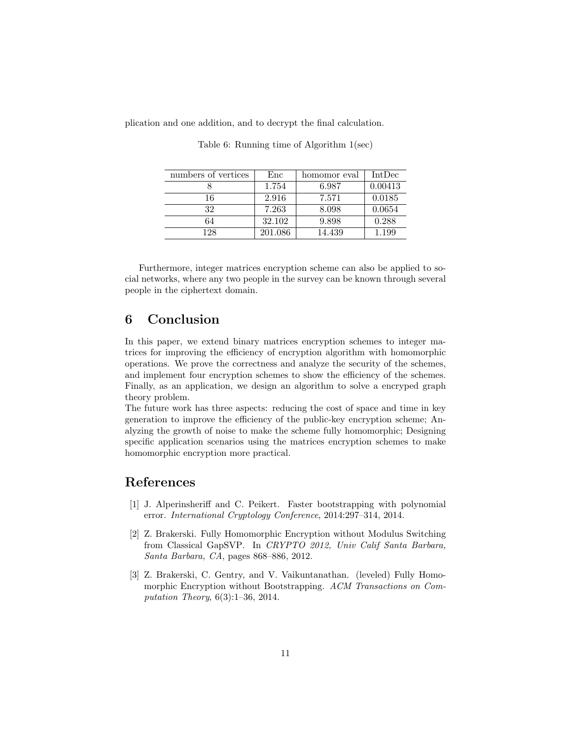plication and one addition, and to decrypt the final calculation.

| numbers of vertices | Enc     | homomor eval | IntDec  |
|---------------------|---------|--------------|---------|
|                     | 1.754   | 6.987        | 0.00413 |
| 16                  | 2.916   | 7.571        | 0.0185  |
| 32                  | 7.263   | 8.098        | 0.0654  |
| 64                  | 32.102  | 9.898        | 0.288   |
| 128                 | 201.086 | 14.439       | 1.199   |

Table 6: Running time of Algorithm 1(sec)

Furthermore, integer matrices encryption scheme can also be applied to social networks, where any two people in the survey can be known through several people in the ciphertext domain.

# 6 Conclusion

In this paper, we extend binary matrices encryption schemes to integer matrices for improving the efficiency of encryption algorithm with homomorphic operations. We prove the correctness and analyze the security of the schemes, and implement four encryption schemes to show the efficiency of the schemes. Finally, as an application, we design an algorithm to solve a encryped graph theory problem.

The future work has three aspects: reducing the cost of space and time in key generation to improve the efficiency of the public-key encryption scheme; Analyzing the growth of noise to make the scheme fully homomorphic; Designing specific application scenarios using the matrices encryption schemes to make homomorphic encryption more practical.

# References

- <span id="page-10-2"></span>[1] J. Alperinsheriff and C. Peikert. Faster bootstrapping with polynomial error. International Cryptology Conference, 2014:297–314, 2014.
- <span id="page-10-1"></span>[2] Z. Brakerski. Fully Homomorphic Encryption without Modulus Switching from Classical GapSVP. In CRYPTO 2012, Univ Calif Santa Barbara, Santa Barbara, CA, pages 868–886, 2012.
- <span id="page-10-0"></span>[3] Z. Brakerski, C. Gentry, and V. Vaikuntanathan. (leveled) Fully Homomorphic Encryption without Bootstrapping. ACM Transactions on Computation Theory, 6(3):1–36, 2014.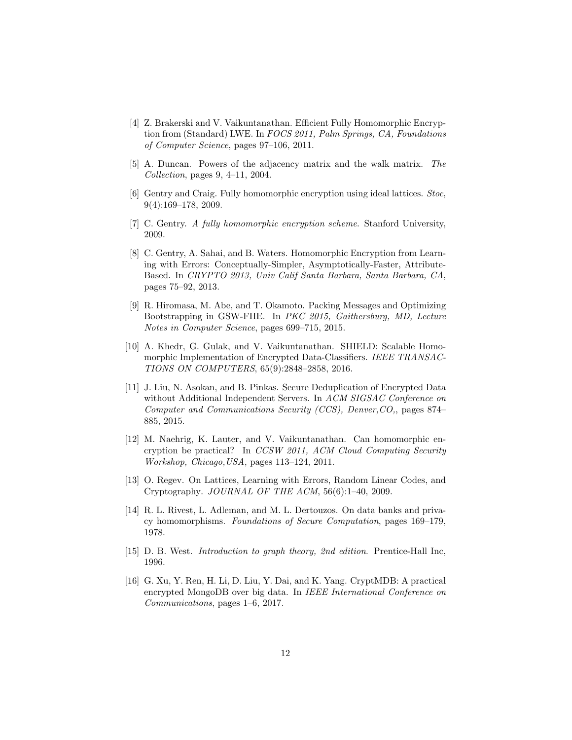- <span id="page-11-6"></span>[4] Z. Brakerski and V. Vaikuntanathan. Efficient Fully Homomorphic Encryption from (Standard) LWE. In FOCS 2011, Palm Springs, CA, Foundations of Computer Science, pages 97–106, 2011.
- <span id="page-11-12"></span>[5] A. Duncan. Powers of the adjacency matrix and the walk matrix. The Collection, pages 9, 4–11, 2004.
- <span id="page-11-5"></span>[6] Gentry and Craig. Fully homomorphic encryption using ideal lattices. Stoc, 9(4):169–178, 2009.
- <span id="page-11-4"></span>[7] C. Gentry. A fully homomorphic encryption scheme. Stanford University, 2009.
- <span id="page-11-7"></span>[8] C. Gentry, A. Sahai, and B. Waters. Homomorphic Encryption from Learning with Errors: Conceptually-Simpler, Asymptotically-Faster, Attribute-Based. In CRYPTO 2013, Univ Calif Santa Barbara, Santa Barbara, CA, pages 75–92, 2013.
- <span id="page-11-9"></span>[9] R. Hiromasa, M. Abe, and T. Okamoto. Packing Messages and Optimizing Bootstrapping in GSW-FHE. In PKC 2015, Gaithersburg, MD, Lecture Notes in Computer Science, pages 699–715, 2015.
- <span id="page-11-8"></span>[10] A. Khedr, G. Gulak, and V. Vaikuntanathan. SHIELD: Scalable Homomorphic Implementation of Encrypted Data-Classifiers. IEEE TRANSAC-TIONS ON COMPUTERS, 65(9):2848–2858, 2016.
- <span id="page-11-2"></span>[11] J. Liu, N. Asokan, and B. Pinkas. Secure Deduplication of Encrypted Data without Additional Independent Servers. In ACM SIGSAC Conference on Computer and Communications Security (CCS), Denver,CO,, pages 874– 885, 2015.
- <span id="page-11-1"></span>[12] M. Naehrig, K. Lauter, and V. Vaikuntanathan. Can homomorphic encryption be practical? In CCSW 2011, ACM Cloud Computing Security Workshop, Chicago,USA, pages 113–124, 2011.
- <span id="page-11-10"></span>[13] O. Regev. On Lattices, Learning with Errors, Random Linear Codes, and Cryptography. JOURNAL OF THE ACM, 56(6):1–40, 2009.
- <span id="page-11-3"></span>[14] R. L. Rivest, L. Adleman, and M. L. Dertouzos. On data banks and privacy homomorphisms. Foundations of Secure Computation, pages 169–179, 1978.
- <span id="page-11-11"></span>[15] D. B. West. Introduction to graph theory, 2nd edition. Prentice-Hall Inc, 1996.
- <span id="page-11-0"></span>[16] G. Xu, Y. Ren, H. Li, D. Liu, Y. Dai, and K. Yang. CryptMDB: A practical encrypted MongoDB over big data. In IEEE International Conference on Communications, pages 1–6, 2017.